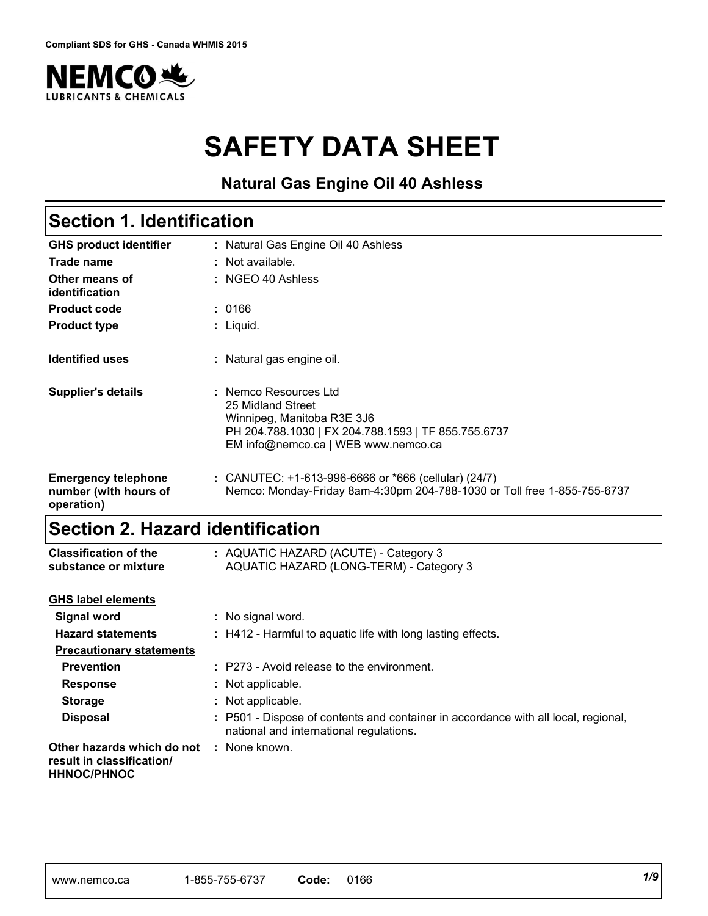

# **SAFETY DATA SHEET**

### **Natural Gas Engine Oil 40 Ashless**

# **Section 1. Identification**

| <b>GHS product identifier</b>                                     | : Natural Gas Engine Oil 40 Ashless                                                                                                                                    |
|-------------------------------------------------------------------|------------------------------------------------------------------------------------------------------------------------------------------------------------------------|
| Trade name                                                        | : Not available.                                                                                                                                                       |
| Other means of<br>identification                                  | $:$ NGEO 40 Ashless                                                                                                                                                    |
| <b>Product code</b>                                               | : 0166                                                                                                                                                                 |
| <b>Product type</b>                                               | : Liquid.                                                                                                                                                              |
| <b>Identified uses</b>                                            | : Natural gas engine oil.                                                                                                                                              |
| <b>Supplier's details</b>                                         | : Nemco Resources Ltd<br>25 Midland Street<br>Winnipeg, Manitoba R3E 3J6<br>PH 204.788.1030   FX 204.788.1593   TF 855.755.6737<br>EM info@nemco.ca   WEB www.nemco.ca |
| <b>Emergency telephone</b><br>number (with hours of<br>operation) | : CANUTEC: $+1-613-996-6666$ or $*666$ (cellular) (24/7)<br>Nemco: Monday-Friday 8am-4:30pm 204-788-1030 or Toll free 1-855-755-6737                                   |

# **Section 2. Hazard identification**

| <b>Classification of the</b><br>substance or mixture                          | : AQUATIC HAZARD (ACUTE) - Category 3<br>AQUATIC HAZARD (LONG-TERM) - Category 3                                              |
|-------------------------------------------------------------------------------|-------------------------------------------------------------------------------------------------------------------------------|
| <b>GHS label elements</b>                                                     |                                                                                                                               |
| <b>Signal word</b>                                                            | : No signal word.                                                                                                             |
| <b>Hazard statements</b>                                                      | : H412 - Harmful to aquatic life with long lasting effects.                                                                   |
| <b>Precautionary statements</b>                                               |                                                                                                                               |
| <b>Prevention</b>                                                             | : P273 - Avoid release to the environment.                                                                                    |
| <b>Response</b>                                                               | : Not applicable.                                                                                                             |
| <b>Storage</b>                                                                | : Not applicable.                                                                                                             |
| <b>Disposal</b>                                                               | : P501 - Dispose of contents and container in accordance with all local, regional,<br>national and international regulations. |
| Other hazards which do not<br>result in classification/<br><b>HHNOC/PHNOC</b> | : None known.                                                                                                                 |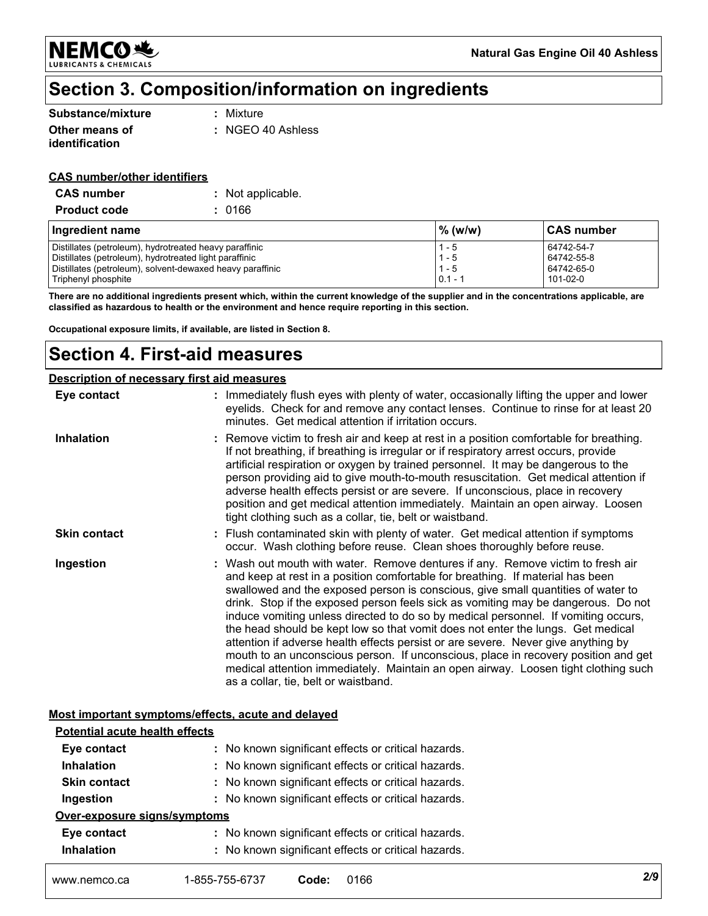**NEMCO头 LUBRICANTS & CHEMICALS** 

# **Section 3. Composition/information on ingredients**

| Substance/mixture                | : Mixture                    |
|----------------------------------|------------------------------|
| Other means of<br>identification | $\therefore$ NGEO 40 Ashless |

#### **CAS number/other identifiers**

| <b>CAS number</b>   | : Not applicable. |
|---------------------|-------------------|
| <b>Product code</b> | : 0166            |

| Ingredient name                                           | $\%$ (w/w) | ∣CAS number |
|-----------------------------------------------------------|------------|-------------|
| Distillates (petroleum), hydrotreated heavy paraffinic    | $1 - 5$    | 64742-54-7  |
| Distillates (petroleum), hydrotreated light paraffinic    | $1 - 5$    | 64742-55-8  |
| Distillates (petroleum), solvent-dewaxed heavy paraffinic | $1 - 5$    | 64742-65-0  |
| Triphenyl phosphite                                       | $0.1 - 1$  | 101-02-0    |

**There are no additional ingredients present which, within the current knowledge of the supplier and in the concentrations applicable, are classified as hazardous to health or the environment and hence require reporting in this section.**

**Occupational exposure limits, if available, are listed in Section 8.**

### **Section 4. First-aid measures**

#### **Description of necessary first aid measures**

| Eye contact         | : Immediately flush eyes with plenty of water, occasionally lifting the upper and lower<br>eyelids. Check for and remove any contact lenses. Continue to rinse for at least 20<br>minutes. Get medical attention if irritation occurs.                                                                                                                                                                                                                                                                                                                                                                                                                                                                                                                                                                                       |
|---------------------|------------------------------------------------------------------------------------------------------------------------------------------------------------------------------------------------------------------------------------------------------------------------------------------------------------------------------------------------------------------------------------------------------------------------------------------------------------------------------------------------------------------------------------------------------------------------------------------------------------------------------------------------------------------------------------------------------------------------------------------------------------------------------------------------------------------------------|
| <b>Inhalation</b>   | : Remove victim to fresh air and keep at rest in a position comfortable for breathing.<br>If not breathing, if breathing is irregular or if respiratory arrest occurs, provide<br>artificial respiration or oxygen by trained personnel. It may be dangerous to the<br>person providing aid to give mouth-to-mouth resuscitation. Get medical attention if<br>adverse health effects persist or are severe. If unconscious, place in recovery<br>position and get medical attention immediately. Maintain an open airway. Loosen<br>tight clothing such as a collar, tie, belt or waistband.                                                                                                                                                                                                                                 |
| <b>Skin contact</b> | : Flush contaminated skin with plenty of water. Get medical attention if symptoms<br>occur. Wash clothing before reuse. Clean shoes thoroughly before reuse.                                                                                                                                                                                                                                                                                                                                                                                                                                                                                                                                                                                                                                                                 |
| Ingestion           | : Wash out mouth with water. Remove dentures if any. Remove victim to fresh air<br>and keep at rest in a position comfortable for breathing. If material has been<br>swallowed and the exposed person is conscious, give small quantities of water to<br>drink. Stop if the exposed person feels sick as vomiting may be dangerous. Do not<br>induce vomiting unless directed to do so by medical personnel. If vomiting occurs,<br>the head should be kept low so that vomit does not enter the lungs. Get medical<br>attention if adverse health effects persist or are severe. Never give anything by<br>mouth to an unconscious person. If unconscious, place in recovery position and get<br>medical attention immediately. Maintain an open airway. Loosen tight clothing such<br>as a collar, tie, belt or waistband. |

#### **Most important symptoms/effects, acute and delayed**

| www.nemco.ca                          | 1-855-755-6737 | 0166<br>Code:                                       | 2/9 |
|---------------------------------------|----------------|-----------------------------------------------------|-----|
| <b>Inhalation</b>                     |                | : No known significant effects or critical hazards. |     |
| Eye contact                           |                | : No known significant effects or critical hazards. |     |
| Over-exposure signs/symptoms          |                |                                                     |     |
| Ingestion                             |                | : No known significant effects or critical hazards. |     |
| <b>Skin contact</b>                   |                | : No known significant effects or critical hazards. |     |
| <b>Inhalation</b>                     |                | : No known significant effects or critical hazards. |     |
| Eye contact                           |                | : No known significant effects or critical hazards. |     |
| <b>Potential acute health effects</b> |                |                                                     |     |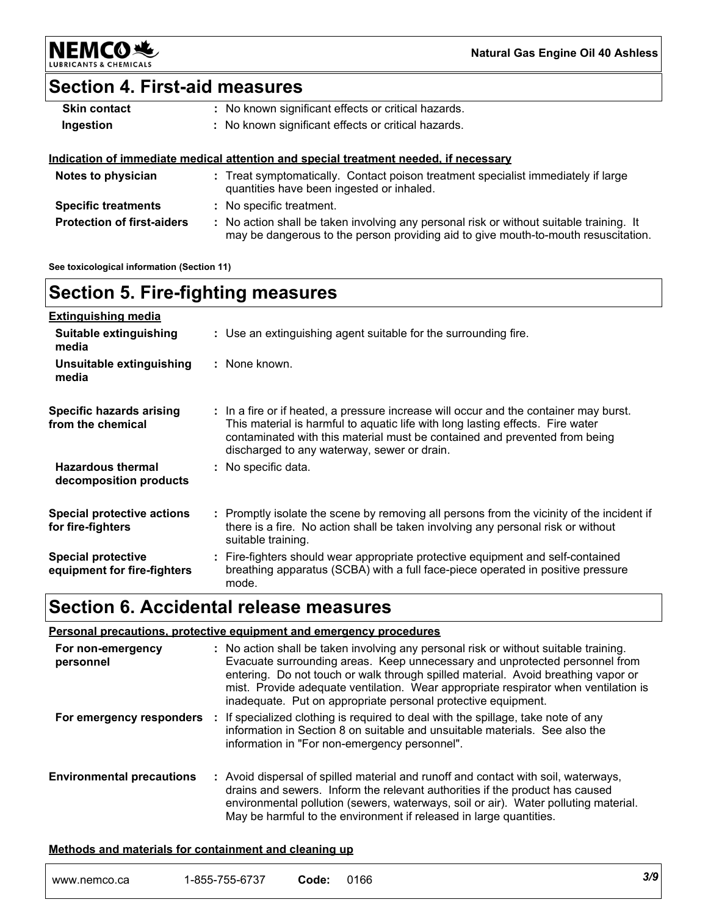

**Natural Gas Engine Oil 40 Ashless**

### **Section 4. First-aid measures**

| <b>Skin contact</b> | : No known significant effects or critical hazards.                                         |
|---------------------|---------------------------------------------------------------------------------------------|
| Ingestion           | : No known significant effects or critical hazards.                                         |
|                     |                                                                                             |
|                     | <u>Indication of immediate medical attention and special treatment needed, if necessary</u> |

may be dangerous to the person providing aid to give mouth-to-mouth resuscitation.

#### **Protection of first-aiders :** No action shall be taken involving any personal risk or without suitable training. It **Notes to physician <b>:** Treat symptomatically. Contact poison treatment specialist immediately if large quantities have been ingested or inhaled. **Specific treatments :** No specific treatment.

**See toxicological information (Section 11)**

### **Section 5. Fire-fighting measures**

| <b>Extinguishing media</b>                               |                                                                                                                                                                                                                                                                                                      |
|----------------------------------------------------------|------------------------------------------------------------------------------------------------------------------------------------------------------------------------------------------------------------------------------------------------------------------------------------------------------|
| Suitable extinguishing<br>media                          | : Use an extinguishing agent suitable for the surrounding fire.                                                                                                                                                                                                                                      |
| Unsuitable extinguishing<br>media                        | : None known.                                                                                                                                                                                                                                                                                        |
| Specific hazards arising<br>from the chemical            | : In a fire or if heated, a pressure increase will occur and the container may burst.<br>This material is harmful to aquatic life with long lasting effects. Fire water<br>contaminated with this material must be contained and prevented from being<br>discharged to any waterway, sewer or drain. |
| <b>Hazardous thermal</b><br>decomposition products       | : No specific data.                                                                                                                                                                                                                                                                                  |
| <b>Special protective actions</b><br>for fire-fighters   | : Promptly isolate the scene by removing all persons from the vicinity of the incident if<br>there is a fire. No action shall be taken involving any personal risk or without<br>suitable training.                                                                                                  |
| <b>Special protective</b><br>equipment for fire-fighters | : Fire-fighters should wear appropriate protective equipment and self-contained<br>breathing apparatus (SCBA) with a full face-piece operated in positive pressure<br>mode.                                                                                                                          |

### **Section 6. Accidental release measures**

#### **Personal precautions, protective equipment and emergency procedures**

| For non-emergency<br>personnel   | : No action shall be taken involving any personal risk or without suitable training.<br>Evacuate surrounding areas. Keep unnecessary and unprotected personnel from<br>entering. Do not touch or walk through spilled material. Avoid breathing vapor or<br>mist. Provide adequate ventilation. Wear appropriate respirator when ventilation is<br>inadequate. Put on appropriate personal protective equipment. |
|----------------------------------|------------------------------------------------------------------------------------------------------------------------------------------------------------------------------------------------------------------------------------------------------------------------------------------------------------------------------------------------------------------------------------------------------------------|
| For emergency responders         | : If specialized clothing is required to deal with the spillage, take note of any<br>information in Section 8 on suitable and unsuitable materials. See also the<br>information in "For non-emergency personnel".                                                                                                                                                                                                |
| <b>Environmental precautions</b> | : Avoid dispersal of spilled material and runoff and contact with soil, waterways,<br>drains and sewers. Inform the relevant authorities if the product has caused<br>environmental pollution (sewers, waterways, soil or air). Water polluting material.<br>May be harmful to the environment if released in large quantities.                                                                                  |

#### **Methods and materials for containment and cleaning up**

| .855<br>www.nemco.ca<br>ັບບປະ | $-0.70$<br>----<br>--<br>Code <sup>.</sup><br>,<br>33-0737 | 0166 | 3/9 |  |
|-------------------------------|------------------------------------------------------------|------|-----|--|
|-------------------------------|------------------------------------------------------------|------|-----|--|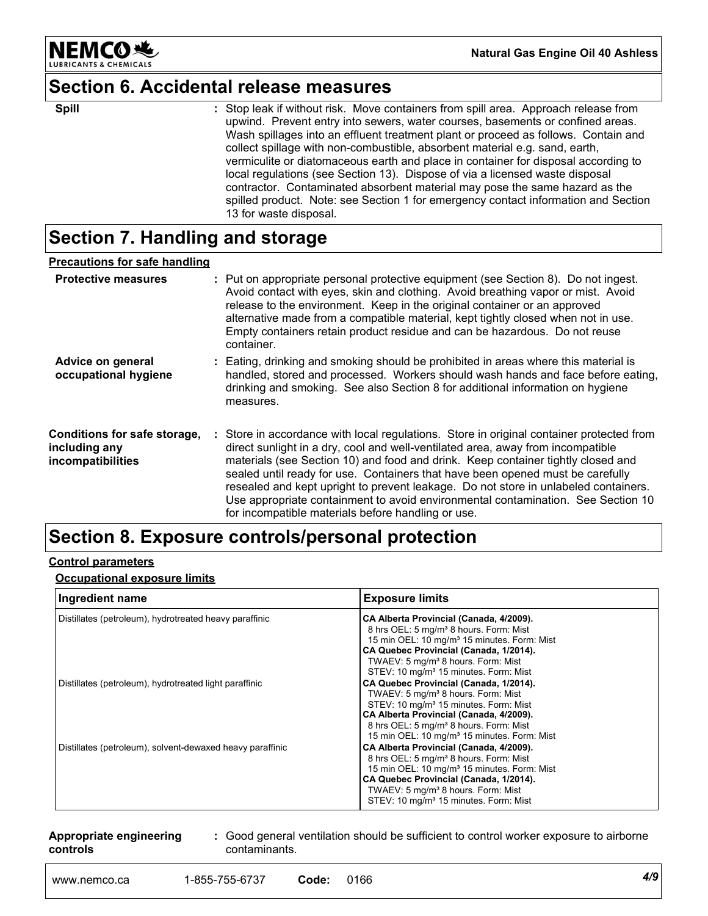

**Natural Gas Engine Oil 40 Ashless**

# **Section 6. Accidental release measures**

|  | vermiculite or diatomaceous earth and place in container for disposal according to<br>local regulations (see Section 13). Dispose of via a licensed waste disposal<br>contractor. Contaminated absorbent material may pose the same hazard as the<br>spilled product. Note: see Section 1 for emergency contact information and Section | <b>Spill</b> | : Stop leak if without risk. Move containers from spill area. Approach release from<br>upwind. Prevent entry into sewers, water courses, basements or confined areas.<br>Wash spillages into an effluent treatment plant or proceed as follows. Contain and<br>collect spillage with non-combustible, absorbent material e.g. sand, earth, |
|--|-----------------------------------------------------------------------------------------------------------------------------------------------------------------------------------------------------------------------------------------------------------------------------------------------------------------------------------------|--------------|--------------------------------------------------------------------------------------------------------------------------------------------------------------------------------------------------------------------------------------------------------------------------------------------------------------------------------------------|
|--|-----------------------------------------------------------------------------------------------------------------------------------------------------------------------------------------------------------------------------------------------------------------------------------------------------------------------------------------|--------------|--------------------------------------------------------------------------------------------------------------------------------------------------------------------------------------------------------------------------------------------------------------------------------------------------------------------------------------------|

# **Section 7. Handling and storage**

#### **Precautions for safe handling**

| <b>Protective measures</b>                                         | : Put on appropriate personal protective equipment (see Section 8). Do not ingest.<br>Avoid contact with eyes, skin and clothing. Avoid breathing vapor or mist. Avoid<br>release to the environment. Keep in the original container or an approved<br>alternative made from a compatible material, kept tightly closed when not in use.<br>Empty containers retain product residue and can be hazardous. Do not reuse<br>container.                                                                                                                                               |
|--------------------------------------------------------------------|------------------------------------------------------------------------------------------------------------------------------------------------------------------------------------------------------------------------------------------------------------------------------------------------------------------------------------------------------------------------------------------------------------------------------------------------------------------------------------------------------------------------------------------------------------------------------------|
| Advice on general<br>occupational hygiene                          | : Eating, drinking and smoking should be prohibited in areas where this material is<br>handled, stored and processed. Workers should wash hands and face before eating,<br>drinking and smoking. See also Section 8 for additional information on hygiene<br>measures.                                                                                                                                                                                                                                                                                                             |
| Conditions for safe storage,<br>including any<br>incompatibilities | : Store in accordance with local regulations. Store in original container protected from<br>direct sunlight in a dry, cool and well-ventilated area, away from incompatible<br>materials (see Section 10) and food and drink. Keep container tightly closed and<br>sealed until ready for use. Containers that have been opened must be carefully<br>resealed and kept upright to prevent leakage. Do not store in unlabeled containers.<br>Use appropriate containment to avoid environmental contamination. See Section 10<br>for incompatible materials before handling or use. |

# **Section 8. Exposure controls/personal protection**

#### **Control parameters**

#### **Occupational exposure limits**

| Ingredient name                                           | <b>Exposure limits</b>                                                                                                                                                                                                                                                                                    |
|-----------------------------------------------------------|-----------------------------------------------------------------------------------------------------------------------------------------------------------------------------------------------------------------------------------------------------------------------------------------------------------|
| Distillates (petroleum), hydrotreated heavy paraffinic    | CA Alberta Provincial (Canada, 4/2009).<br>8 hrs OEL: 5 mg/m <sup>3</sup> 8 hours. Form: Mist<br>15 min OEL: 10 mg/m <sup>3</sup> 15 minutes. Form: Mist<br>CA Quebec Provincial (Canada, 1/2014).<br>TWAEV: 5 mg/m <sup>3</sup> 8 hours. Form: Mist<br>STEV: 10 mg/m <sup>3</sup> 15 minutes. Form: Mist |
| Distillates (petroleum), hydrotreated light paraffinic    | CA Quebec Provincial (Canada, 1/2014).<br>TWAEV: 5 mg/m <sup>3</sup> 8 hours. Form: Mist<br>STEV: 10 mg/m <sup>3</sup> 15 minutes. Form: Mist<br>CA Alberta Provincial (Canada, 4/2009).<br>8 hrs OEL: 5 mg/m <sup>3</sup> 8 hours. Form: Mist<br>15 min OEL: 10 mg/m <sup>3</sup> 15 minutes. Form: Mist |
| Distillates (petroleum), solvent-dewaxed heavy paraffinic | CA Alberta Provincial (Canada, 4/2009).<br>8 hrs OEL: 5 mg/m <sup>3</sup> 8 hours. Form: Mist<br>15 min OEL: 10 mg/m <sup>3</sup> 15 minutes. Form: Mist<br>CA Quebec Provincial (Canada, 1/2014).<br>TWAEV: 5 mg/m <sup>3</sup> 8 hours. Form: Mist<br>STEV: 10 mg/m <sup>3</sup> 15 minutes. Form: Mist |

#### **Appropriate engineering controls**

**:** Good general ventilation should be sufficient to control worker exposure to airborne contaminants.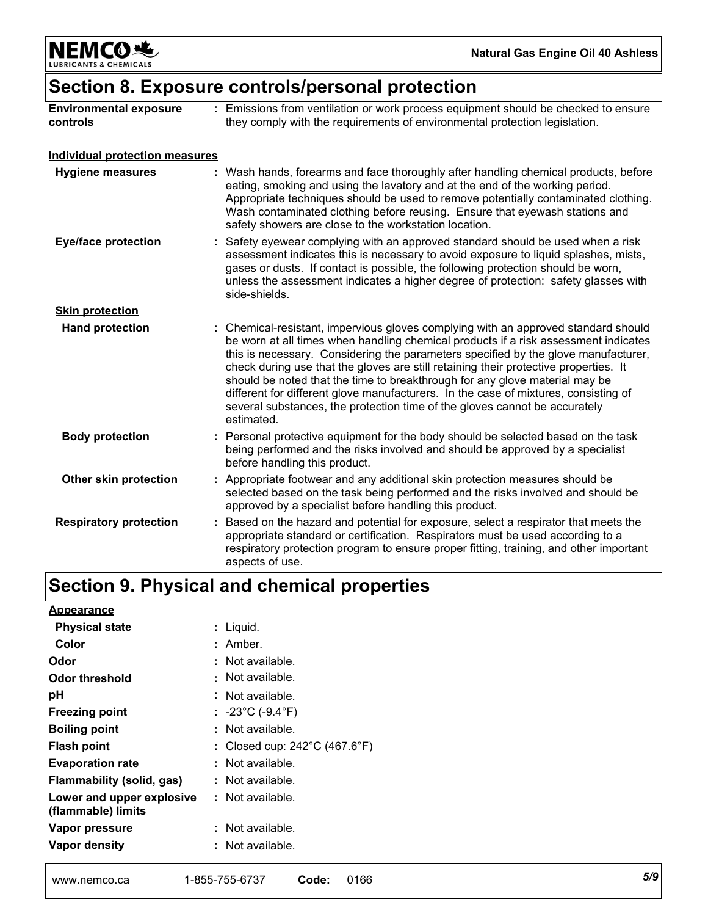**NEMCO头** & CHEMICALS LUBRIC

# **Section 8. Exposure controls/personal protection**

| <b>Environmental exposure</b><br>controls | : Emissions from ventilation or work process equipment should be checked to ensure<br>they comply with the requirements of environmental protection legislation.                                                                                                                                                                                                                                                                                                                                                                                                                                                          |
|-------------------------------------------|---------------------------------------------------------------------------------------------------------------------------------------------------------------------------------------------------------------------------------------------------------------------------------------------------------------------------------------------------------------------------------------------------------------------------------------------------------------------------------------------------------------------------------------------------------------------------------------------------------------------------|
| <b>Individual protection measures</b>     |                                                                                                                                                                                                                                                                                                                                                                                                                                                                                                                                                                                                                           |
| <b>Hygiene measures</b>                   | : Wash hands, forearms and face thoroughly after handling chemical products, before<br>eating, smoking and using the lavatory and at the end of the working period.<br>Appropriate techniques should be used to remove potentially contaminated clothing.<br>Wash contaminated clothing before reusing. Ensure that eyewash stations and<br>safety showers are close to the workstation location.                                                                                                                                                                                                                         |
| <b>Eye/face protection</b>                | : Safety eyewear complying with an approved standard should be used when a risk<br>assessment indicates this is necessary to avoid exposure to liquid splashes, mists,<br>gases or dusts. If contact is possible, the following protection should be worn,<br>unless the assessment indicates a higher degree of protection: safety glasses with<br>side-shields.                                                                                                                                                                                                                                                         |
| <b>Skin protection</b>                    |                                                                                                                                                                                                                                                                                                                                                                                                                                                                                                                                                                                                                           |
| <b>Hand protection</b>                    | : Chemical-resistant, impervious gloves complying with an approved standard should<br>be worn at all times when handling chemical products if a risk assessment indicates<br>this is necessary. Considering the parameters specified by the glove manufacturer,<br>check during use that the gloves are still retaining their protective properties. It<br>should be noted that the time to breakthrough for any glove material may be<br>different for different glove manufacturers. In the case of mixtures, consisting of<br>several substances, the protection time of the gloves cannot be accurately<br>estimated. |
| <b>Body protection</b>                    | : Personal protective equipment for the body should be selected based on the task<br>being performed and the risks involved and should be approved by a specialist<br>before handling this product.                                                                                                                                                                                                                                                                                                                                                                                                                       |
| Other skin protection                     | : Appropriate footwear and any additional skin protection measures should be<br>selected based on the task being performed and the risks involved and should be<br>approved by a specialist before handling this product.                                                                                                                                                                                                                                                                                                                                                                                                 |
| <b>Respiratory protection</b>             | : Based on the hazard and potential for exposure, select a respirator that meets the<br>appropriate standard or certification. Respirators must be used according to a<br>respiratory protection program to ensure proper fitting, training, and other important<br>aspects of use.                                                                                                                                                                                                                                                                                                                                       |

# **Section 9. Physical and chemical properties**

| Appearance                                      |                                                  |
|-------------------------------------------------|--------------------------------------------------|
| <b>Physical state</b>                           | Liquid.                                          |
| Color                                           | : Amber.                                         |
| Odor                                            | : Not available.                                 |
| Odor threshold                                  | : Not available.                                 |
| рH                                              | : Not available.                                 |
| <b>Freezing point</b>                           | : -23°C (-9.4°F)                                 |
| <b>Boiling point</b>                            | : Not available.                                 |
| Flash point                                     | Closed cup: $242^{\circ}$ C (467.6 $^{\circ}$ F) |
| <b>Evaporation rate</b>                         | : Not available.                                 |
| Flammability (solid, gas)                       | : Not available.                                 |
| Lower and upper explosive<br>(flammable) limits | : Not available.                                 |
| Vapor pressure                                  | Not available.                                   |
| Vapor density                                   | Not available.                                   |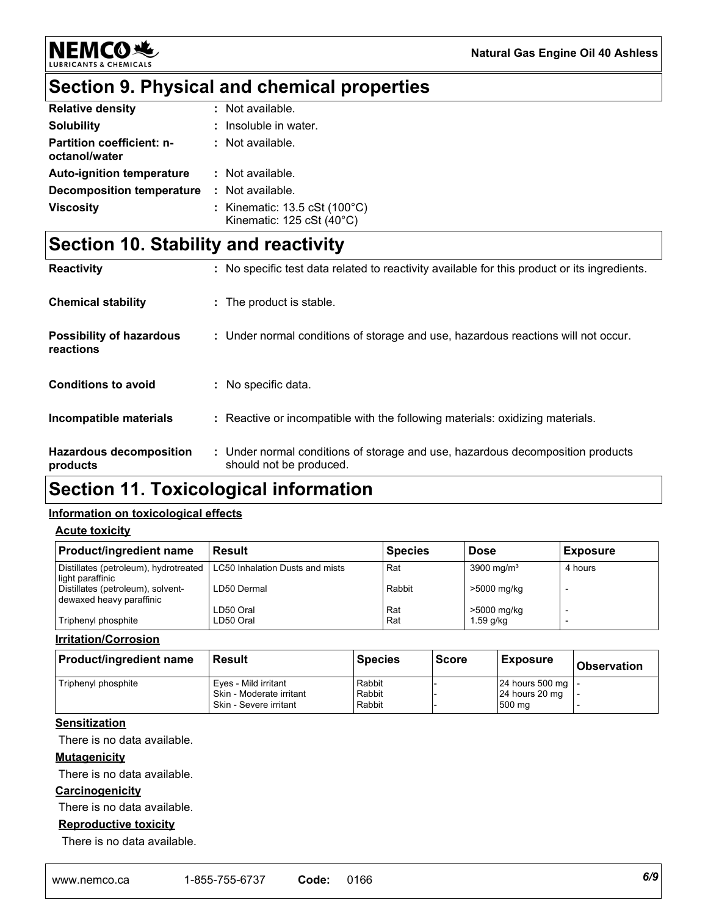

# **NEMCO头**

# **Section 9. Physical and chemical properties**

| <b>Relative density</b>                           | : Not available.                                                                     |
|---------------------------------------------------|--------------------------------------------------------------------------------------|
| <b>Solubility</b>                                 | : Insoluble in water.                                                                |
| <b>Partition coefficient: n-</b><br>octanol/water | : Not available.                                                                     |
| <b>Auto-ignition temperature</b>                  | : Not available.                                                                     |
| Decomposition temperature                         | : Not available.                                                                     |
| <b>Viscosity</b>                                  | : Kinematic: $13.5 \text{ cSt } (100^{\circ} \text{C})$<br>Kinematic: 125 cSt (40°C) |

# **Section 10. Stability and reactivity**

| <b>Reactivity</b>                            | : No specific test data related to reactivity available for this product or its ingredients.              |
|----------------------------------------------|-----------------------------------------------------------------------------------------------------------|
| <b>Chemical stability</b>                    | : The product is stable.                                                                                  |
| <b>Possibility of hazardous</b><br>reactions | : Under normal conditions of storage and use, hazardous reactions will not occur.                         |
| <b>Conditions to avoid</b>                   | : No specific data.                                                                                       |
| Incompatible materials                       | : Reactive or incompatible with the following materials: oxidizing materials.                             |
| <b>Hazardous decomposition</b><br>products   | : Under normal conditions of storage and use, hazardous decomposition products<br>should not be produced. |

# **Section 11. Toxicological information**

#### **Information on toxicological effects**

**Acute toxicity**

| <b>Product/ingredient name</b>                                          | Result      | <b>Species</b> | <b>Dose</b>            | <b>Exposure</b> |
|-------------------------------------------------------------------------|-------------|----------------|------------------------|-----------------|
| Distillates (petroleum), hydrotreated   LC50 Inhalation Dusts and mists |             | Rat            | 3900 mg/m <sup>3</sup> | 4 hours         |
| light paraffinic                                                        |             |                |                        |                 |
| Distillates (petroleum), solvent-<br>dewaxed heavy paraffinic           | LD50 Dermal | Rabbit         | >5000 mg/kg            |                 |
|                                                                         | LD50 Oral   | Rat            | >5000 mg/kg            |                 |
| Triphenyl phosphite                                                     | LD50 Oral   | Rat            | $1.59$ g/kg            |                 |

#### **Irritation/Corrosion**

| <b>Product/ingredient name</b> | Result                   | <b>Species</b> | <b>Score</b> | <b>Exposure</b>     | <b>Observation</b> |
|--------------------------------|--------------------------|----------------|--------------|---------------------|--------------------|
| Triphenyl phosphite            | Eves - Mild irritant     | Rabbit         |              | 24 hours 500 mg   - |                    |
|                                | Skin - Moderate irritant | Rabbit         |              | 24 hours 20 mg      |                    |
|                                | Skin - Severe irritant   | Rabbit         |              | 500 mg              |                    |

#### **Sensitization**

There is no data available.

#### **Mutagenicity**

There is no data available.

#### **Carcinogenicity**

There is no data available.

#### **Reproductive toxicity**

There is no data available.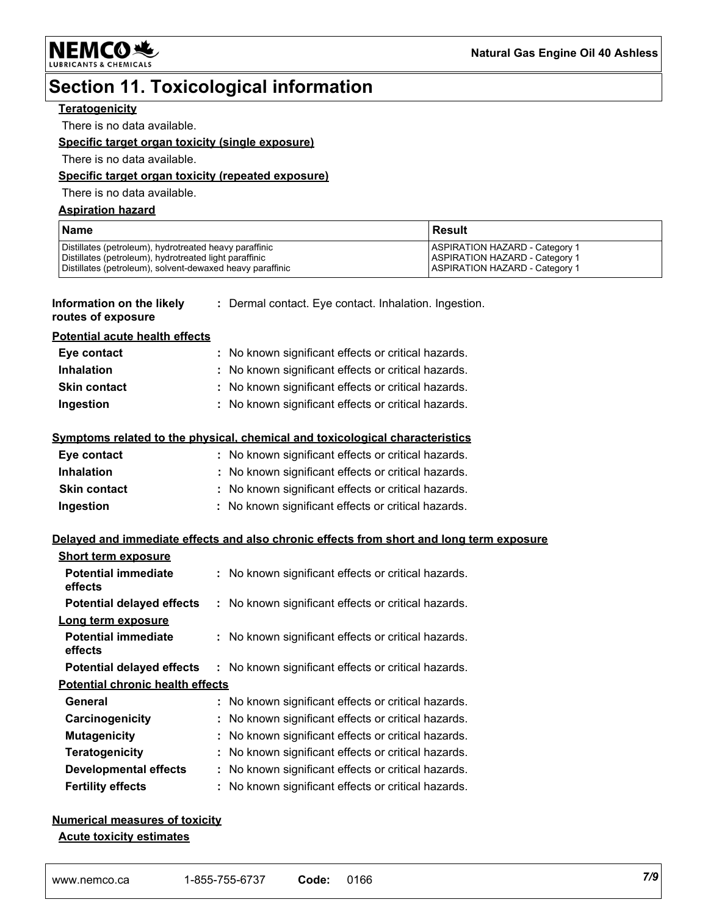**NEMCO头** 

# **Section 11. Toxicological information**

#### **Teratogenicity**

There is no data available.

#### **Specific target organ toxicity (single exposure)**

There is no data available.

#### **Specific target organ toxicity (repeated exposure)**

There is no data available.

#### **Aspiration hazard**

| <b>Name</b>                                                                                                                                                                   | l Result                                                                                                                 |
|-------------------------------------------------------------------------------------------------------------------------------------------------------------------------------|--------------------------------------------------------------------------------------------------------------------------|
| Distillates (petroleum), hydrotreated heavy paraffinic<br>Distillates (petroleum), hydrotreated light paraffinic<br>Distillates (petroleum), solvent-dewaxed heavy paraffinic | <b>ASPIRATION HAZARD - Category 1</b><br><b>ASPIRATION HAZARD - Category 1</b><br><b>IASPIRATION HAZARD - Category 1</b> |

#### **Information on the likely routes of exposure**

**:** Dermal contact. Eye contact. Inhalation. Ingestion.

#### **Potential acute health effects**

| Eye contact         | : No known significant effects or critical hazards. |
|---------------------|-----------------------------------------------------|
| <b>Inhalation</b>   | : No known significant effects or critical hazards. |
| <b>Skin contact</b> | : No known significant effects or critical hazards. |
| Ingestion           | : No known significant effects or critical hazards. |

#### **Symptoms related to the physical, chemical and toxicological characteristics**

| Eye contact         | : No known significant effects or critical hazards. |
|---------------------|-----------------------------------------------------|
| <b>Inhalation</b>   | : No known significant effects or critical hazards. |
| <b>Skin contact</b> | : No known significant effects or critical hazards. |
| Ingestion           | : No known significant effects or critical hazards. |

#### **Delayed and immediate effects and also chronic effects from short and long term exposure**

| <b>Short term exposure</b>              |                                                     |
|-----------------------------------------|-----------------------------------------------------|
| <b>Potential immediate</b><br>effects   | : No known significant effects or critical hazards. |
| <b>Potential delayed effects</b>        | : No known significant effects or critical hazards. |
| Long term exposure                      |                                                     |
| <b>Potential immediate</b><br>effects   | : No known significant effects or critical hazards. |
| <b>Potential delayed effects</b>        | : No known significant effects or critical hazards. |
| <b>Potential chronic health effects</b> |                                                     |
| General                                 | : No known significant effects or critical hazards. |
| Carcinogenicity                         | : No known significant effects or critical hazards. |
| <b>Mutagenicity</b>                     | : No known significant effects or critical hazards. |
| <b>Teratogenicity</b>                   | : No known significant effects or critical hazards. |
| <b>Developmental effects</b>            | : No known significant effects or critical hazards. |
| <b>Fertility effects</b>                | : No known significant effects or critical hazards. |

#### **Numerical measures of toxicity Acute toxicity estimates**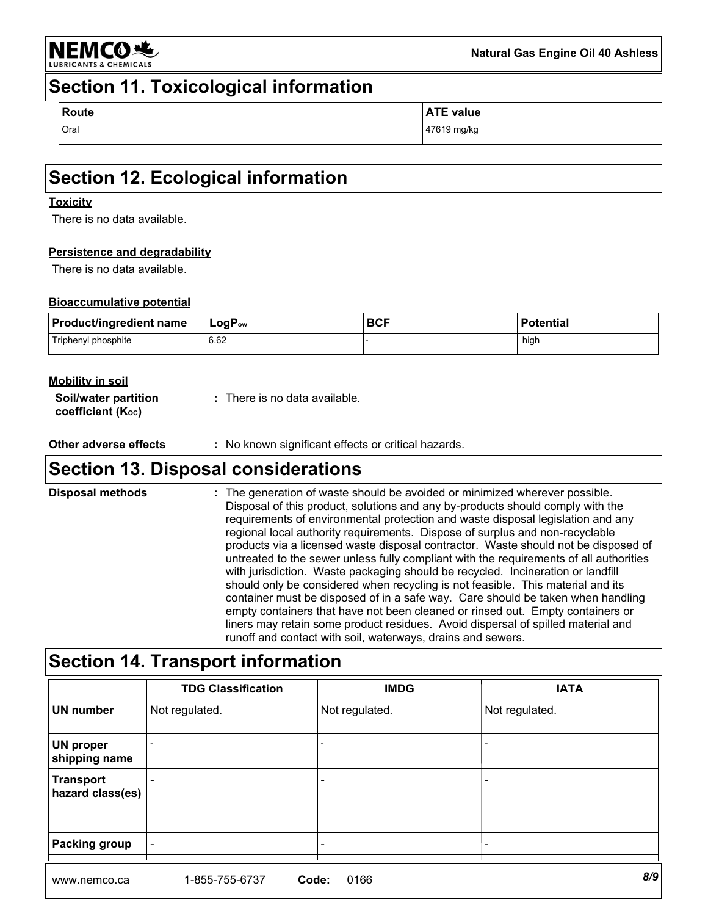

### **Section 11. Toxicological information**

| Route | <b>ATE value</b> |
|-------|------------------|
| Oral  | 47619 mg/kg      |

# **Section 12. Ecological information**

#### **Toxicity**

There is no data available.

#### **Persistence and degradability**

There is no data available.

#### **Bioaccumulative potential**

| <b>Product/ingredient name</b> | $LogP_{ow}$ | <b>BCF</b> | <b>Potential</b> |
|--------------------------------|-------------|------------|------------------|
| Triphenyl phosphite            | 6.62        |            | high             |

#### **Mobility in soil**

| Soil/water partition          | : There is no data available. |
|-------------------------------|-------------------------------|
| coefficient $(K_{\text{oc}})$ |                               |

**Other adverse effects** : No known significant effects or critical hazards.

### **Section 13. Disposal considerations**

The generation of waste should be avoided or minimized wherever possible. Disposal of this product, solutions and any by-products should comply with the requirements of environmental protection and waste disposal legislation and any regional local authority requirements. Dispose of surplus and non-recyclable products via a licensed waste disposal contractor. Waste should not be disposed of untreated to the sewer unless fully compliant with the requirements of all authorities with jurisdiction. Waste packaging should be recycled. Incineration or landfill should only be considered when recycling is not feasible. This material and its container must be disposed of in a safe way. Care should be taken when handling empty containers that have not been cleaned or rinsed out. Empty containers or liners may retain some product residues. Avoid dispersal of spilled material and runoff and contact with soil, waterways, drains and sewers. **Disposal methods :**

### **Section 14. Transport information**

|                                      | <b>TDG Classification</b> | <b>IMDG</b>    | <b>IATA</b>    |
|--------------------------------------|---------------------------|----------------|----------------|
| <b>UN number</b>                     | Not regulated.            | Not regulated. | Not regulated. |
| <b>UN proper</b><br>shipping name    |                           |                |                |
| <b>Transport</b><br>hazard class(es) |                           |                |                |
| <b>Packing group</b>                 |                           |                |                |